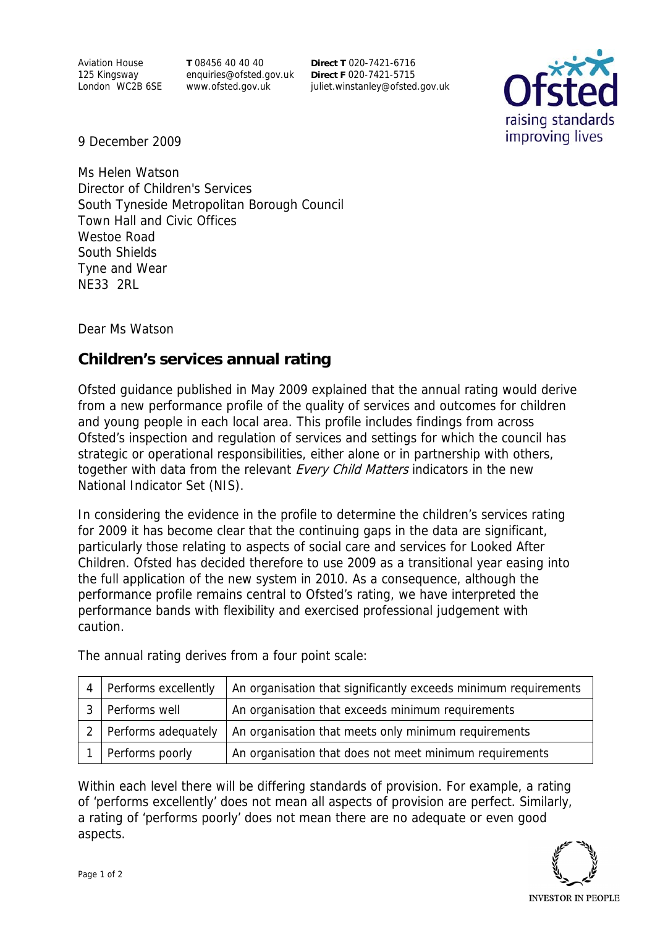Aviation House 125 Kingsway London WC2B 6SE **T** 08456 40 40 40 enquiries@ofsted.gov.uk www.ofsted.gov.uk

**Direct T** 020-7421-6716 **Direct F** 020-7421-5715 juliet.winstanley@ofsted.gov.uk



9 December 2009

Ms Helen Watson Director of Children's Services South Tyneside Metropolitan Borough Council Town Hall and Civic Offices Westoe Road South Shields Tyne and Wear NE33 2RL

Dear Ms Watson

## **Children's services annual rating**

Ofsted guidance published in May 2009 explained that the annual rating would derive from a new performance profile of the quality of services and outcomes for children and young people in each local area. This profile includes findings from across Ofsted's inspection and regulation of services and settings for which the council has strategic or operational responsibilities, either alone or in partnership with others, together with data from the relevant Every Child Matters indicators in the new National Indicator Set (NIS).

In considering the evidence in the profile to determine the children's services rating for 2009 it has become clear that the continuing gaps in the data are significant, particularly those relating to aspects of social care and services for Looked After Children. Ofsted has decided therefore to use 2009 as a transitional year easing into the full application of the new system in 2010. As a consequence, although the performance profile remains central to Ofsted's rating, we have interpreted the performance bands with flexibility and exercised professional judgement with caution.

 $4$  Performs excellently  $\vert$  An organisation that significantly exceeds minimum requirements 3 Performs well An organisation that exceeds minimum requirements 2 Performs adequately  $\vert$  An organisation that meets only minimum requirements 1 Performs poorly An organisation that does not meet minimum requirements

The annual rating derives from a four point scale:

Within each level there will be differing standards of provision. For example, a rating of 'performs excellently' does not mean all aspects of provision are perfect. Similarly, a rating of 'performs poorly' does not mean there are no adequate or even good aspects.